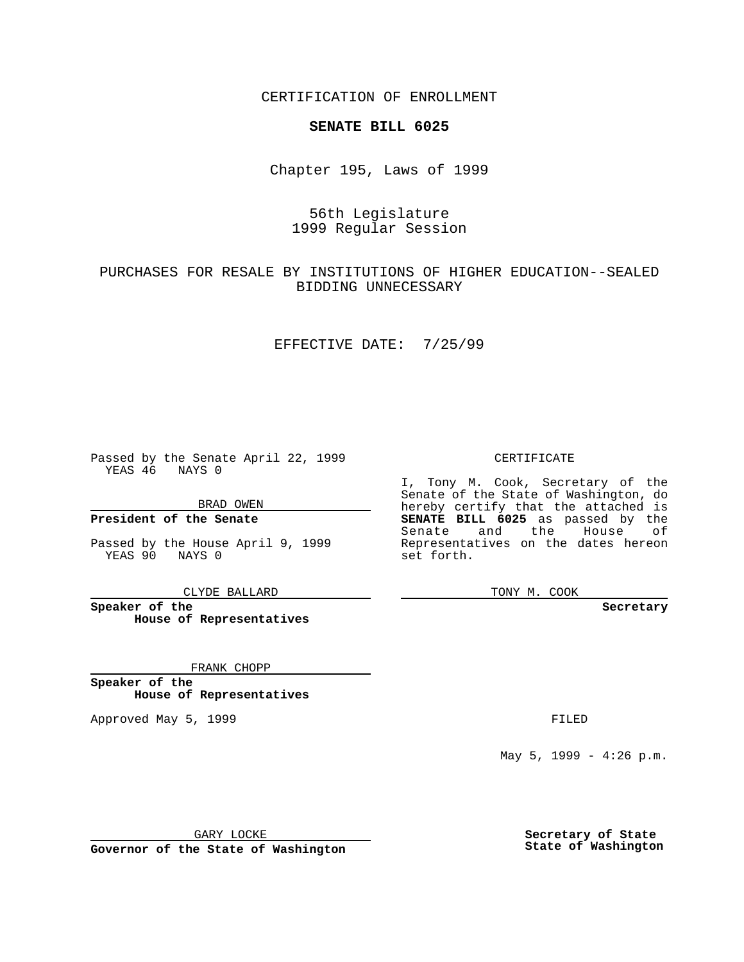CERTIFICATION OF ENROLLMENT

## **SENATE BILL 6025**

Chapter 195, Laws of 1999

# 56th Legislature 1999 Regular Session

## PURCHASES FOR RESALE BY INSTITUTIONS OF HIGHER EDUCATION--SEALED BIDDING UNNECESSARY

### EFFECTIVE DATE: 7/25/99

Passed by the Senate April 22, 1999 YEAS 46 NAYS 0

BRAD OWEN

**President of the Senate**

Passed by the House April 9, 1999 YEAS 90 NAYS 0

CLYDE BALLARD

**Speaker of the House of Representatives**

FRANK CHOPP

**Speaker of the House of Representatives**

Approved May 5, 1999 **FILED** 

CERTIFICATE

I, Tony M. Cook, Secretary of the Senate of the State of Washington, do hereby certify that the attached is **SENATE BILL 6025** as passed by the Senate and the House of Representatives on the dates hereon set forth.

TONY M. COOK

**Secretary**

May 5, 1999 - 4:26 p.m.

GARY LOCKE

**Governor of the State of Washington**

**Secretary of State State of Washington**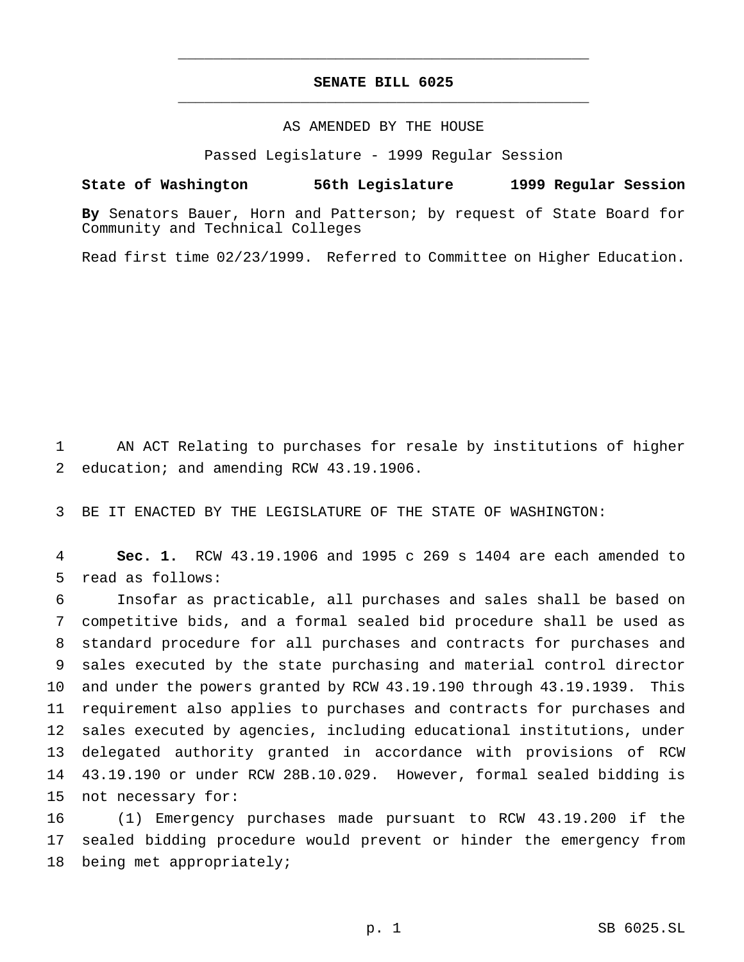# **SENATE BILL 6025** \_\_\_\_\_\_\_\_\_\_\_\_\_\_\_\_\_\_\_\_\_\_\_\_\_\_\_\_\_\_\_\_\_\_\_\_\_\_\_\_\_\_\_\_\_\_\_

\_\_\_\_\_\_\_\_\_\_\_\_\_\_\_\_\_\_\_\_\_\_\_\_\_\_\_\_\_\_\_\_\_\_\_\_\_\_\_\_\_\_\_\_\_\_\_

### AS AMENDED BY THE HOUSE

Passed Legislature - 1999 Regular Session

#### **State of Washington 56th Legislature 1999 Regular Session**

**By** Senators Bauer, Horn and Patterson; by request of State Board for Community and Technical Colleges

Read first time 02/23/1999. Referred to Committee on Higher Education.

 AN ACT Relating to purchases for resale by institutions of higher education; and amending RCW 43.19.1906.

BE IT ENACTED BY THE LEGISLATURE OF THE STATE OF WASHINGTON:

 **Sec. 1.** RCW 43.19.1906 and 1995 c 269 s 1404 are each amended to read as follows:

 Insofar as practicable, all purchases and sales shall be based on competitive bids, and a formal sealed bid procedure shall be used as standard procedure for all purchases and contracts for purchases and sales executed by the state purchasing and material control director and under the powers granted by RCW 43.19.190 through 43.19.1939. This requirement also applies to purchases and contracts for purchases and sales executed by agencies, including educational institutions, under delegated authority granted in accordance with provisions of RCW 43.19.190 or under RCW 28B.10.029. However, formal sealed bidding is not necessary for:

 (1) Emergency purchases made pursuant to RCW 43.19.200 if the sealed bidding procedure would prevent or hinder the emergency from being met appropriately;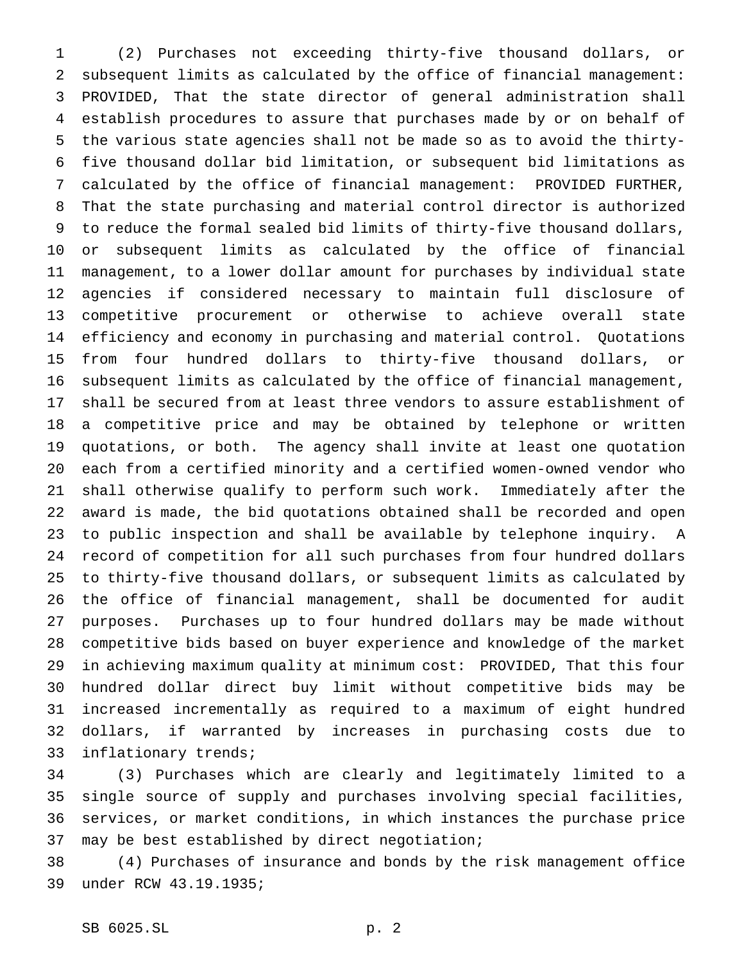(2) Purchases not exceeding thirty-five thousand dollars, or subsequent limits as calculated by the office of financial management: PROVIDED, That the state director of general administration shall establish procedures to assure that purchases made by or on behalf of the various state agencies shall not be made so as to avoid the thirty- five thousand dollar bid limitation, or subsequent bid limitations as calculated by the office of financial management: PROVIDED FURTHER, That the state purchasing and material control director is authorized to reduce the formal sealed bid limits of thirty-five thousand dollars, or subsequent limits as calculated by the office of financial management, to a lower dollar amount for purchases by individual state agencies if considered necessary to maintain full disclosure of competitive procurement or otherwise to achieve overall state efficiency and economy in purchasing and material control. Quotations from four hundred dollars to thirty-five thousand dollars, or subsequent limits as calculated by the office of financial management, shall be secured from at least three vendors to assure establishment of a competitive price and may be obtained by telephone or written quotations, or both. The agency shall invite at least one quotation each from a certified minority and a certified women-owned vendor who shall otherwise qualify to perform such work. Immediately after the award is made, the bid quotations obtained shall be recorded and open to public inspection and shall be available by telephone inquiry. A record of competition for all such purchases from four hundred dollars to thirty-five thousand dollars, or subsequent limits as calculated by the office of financial management, shall be documented for audit purposes. Purchases up to four hundred dollars may be made without competitive bids based on buyer experience and knowledge of the market in achieving maximum quality at minimum cost: PROVIDED, That this four hundred dollar direct buy limit without competitive bids may be increased incrementally as required to a maximum of eight hundred dollars, if warranted by increases in purchasing costs due to inflationary trends;

 (3) Purchases which are clearly and legitimately limited to a single source of supply and purchases involving special facilities, services, or market conditions, in which instances the purchase price may be best established by direct negotiation;

 (4) Purchases of insurance and bonds by the risk management office under RCW 43.19.1935;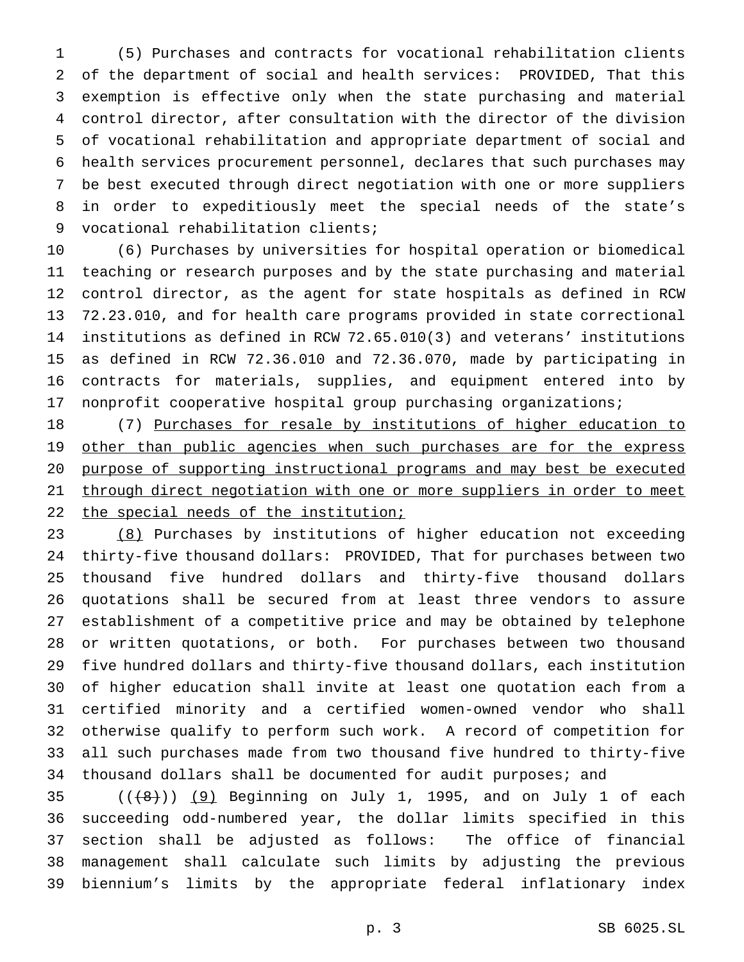(5) Purchases and contracts for vocational rehabilitation clients of the department of social and health services: PROVIDED, That this exemption is effective only when the state purchasing and material control director, after consultation with the director of the division of vocational rehabilitation and appropriate department of social and health services procurement personnel, declares that such purchases may be best executed through direct negotiation with one or more suppliers in order to expeditiously meet the special needs of the state's vocational rehabilitation clients;

 (6) Purchases by universities for hospital operation or biomedical teaching or research purposes and by the state purchasing and material control director, as the agent for state hospitals as defined in RCW 72.23.010, and for health care programs provided in state correctional institutions as defined in RCW 72.65.010(3) and veterans' institutions as defined in RCW 72.36.010 and 72.36.070, made by participating in contracts for materials, supplies, and equipment entered into by nonprofit cooperative hospital group purchasing organizations;

 (7) Purchases for resale by institutions of higher education to 19 other than public agencies when such purchases are for the express purpose of supporting instructional programs and may best be executed 21 through direct negotiation with one or more suppliers in order to meet 22 the special needs of the institution;

 (8) Purchases by institutions of higher education not exceeding thirty-five thousand dollars: PROVIDED, That for purchases between two thousand five hundred dollars and thirty-five thousand dollars quotations shall be secured from at least three vendors to assure establishment of a competitive price and may be obtained by telephone or written quotations, or both. For purchases between two thousand five hundred dollars and thirty-five thousand dollars, each institution of higher education shall invite at least one quotation each from a certified minority and a certified women-owned vendor who shall otherwise qualify to perform such work. A record of competition for all such purchases made from two thousand five hundred to thirty-five 34 thousand dollars shall be documented for audit purposes; and

 ( $(\frac{48}{})$ )  $(9)$  Beginning on July 1, 1995, and on July 1 of each succeeding odd-numbered year, the dollar limits specified in this section shall be adjusted as follows: The office of financial management shall calculate such limits by adjusting the previous biennium's limits by the appropriate federal inflationary index